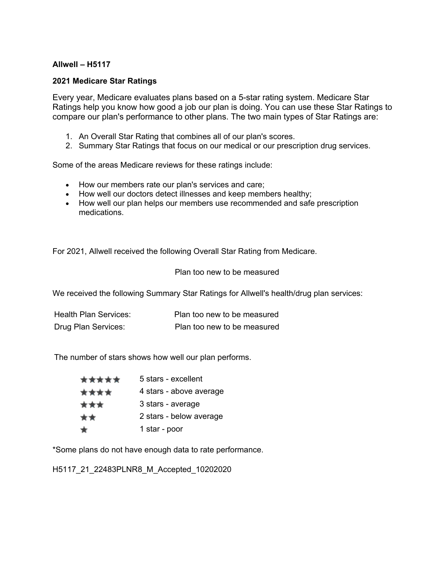## **Allwell – H5117**

## **2021 Medicare Star Ratings**

 Ratings help you know how good a job our plan is doing. You can use these Star Ratings to Every year, Medicare evaluates plans based on a 5-star rating system. Medicare Star compare our plan's performance to other plans. The two main types of Star Ratings are:

- 1. An Overall Star Rating that combines all of our plan's scores.
- 2. Summary Star Ratings that focus on our medical or our prescription drug services.

Some of the areas Medicare reviews for these ratings include:

- How our members rate our plan's services and care;
- How well our doctors detect illnesses and keep members healthy;
- How well our plan helps our members use recommended and safe prescription medications.

For 2021, Allwell received the following Overall Star Rating from Medicare.

## Plan too new to be measured

We received the following Summary Star Ratings for Allwell's health/drug plan services:

| <b>Health Plan Services:</b> | Plan too new to be measured |
|------------------------------|-----------------------------|
| Drug Plan Services:          | Plan too new to be measured |

The number of stars shows how well our plan performs.

| ***** | 5 stars - excellent     |
|-------|-------------------------|
| ****  | 4 stars - above average |
| ***   | 3 stars - average       |
| **    | 2 stars - below average |
| ₩.    | 1 star - poor           |

\*Some plans do not have enough data to rate performance.

H5117\_21\_22483PLNR8\_M\_Accepted\_10202020